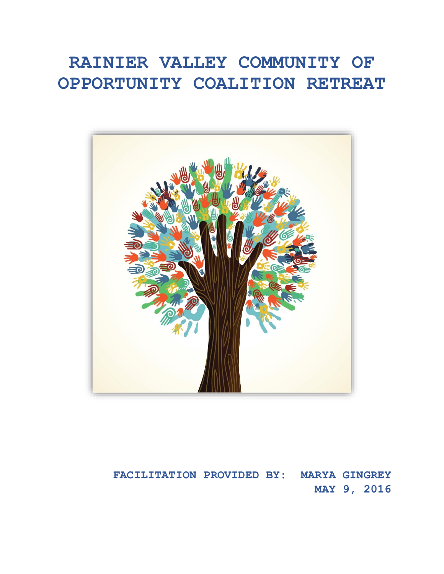# **RAINIER VALLEY COMMUNITY OF OPPORTUNITY COALITION RETREAT**



# **FACILITATION PROVIDED BY: MARYA GINGREY MAY 9, 2016**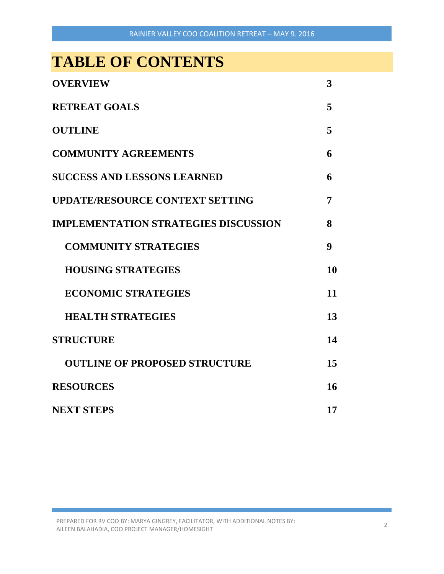# **TABLE OF CONTENTS**

| <b>OVERVIEW</b>                             | 3                |
|---------------------------------------------|------------------|
| <b>RETREAT GOALS</b>                        | 5                |
| <b>OUTLINE</b>                              | 5                |
| <b>COMMUNITY AGREEMENTS</b>                 | 6                |
| <b>SUCCESS AND LESSONS LEARNED</b>          | 6                |
| <b>UPDATE/RESOURCE CONTEXT SETTING</b>      | 7                |
| <b>IMPLEMENTATION STRATEGIES DISCUSSION</b> | 8                |
| <b>COMMUNITY STRATEGIES</b>                 | $\boldsymbol{9}$ |
| <b>HOUSING STRATEGIES</b>                   | 10               |
| <b>ECONOMIC STRATEGIES</b>                  | 11               |
| <b>HEALTH STRATEGIES</b>                    | 13               |
| <b>STRUCTURE</b>                            | 14               |
| <b>OUTLINE OF PROPOSED STRUCTURE</b>        | 15               |
| <b>RESOURCES</b>                            | 16               |
| <b>NEXT STEPS</b>                           | 17               |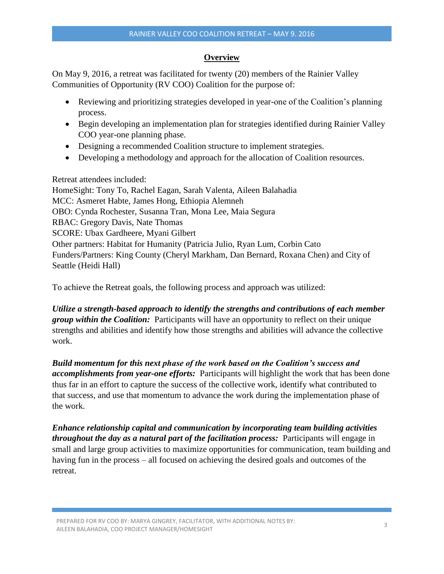# **Overview**

On May 9, 2016, a retreat was facilitated for twenty (20) members of the Rainier Valley Communities of Opportunity (RV COO) Coalition for the purpose of:

- Reviewing and prioritizing strategies developed in year-one of the Coalition's planning process.
- Begin developing an implementation plan for strategies identified during Rainier Valley COO year-one planning phase.
- Designing a recommended Coalition structure to implement strategies.
- Developing a methodology and approach for the allocation of Coalition resources.

Retreat attendees included:

HomeSight: Tony To, Rachel Eagan, Sarah Valenta, Aileen Balahadia MCC: Asmeret Habte, James Hong, Ethiopia Alemneh OBO: Cynda Rochester, Susanna Tran, Mona Lee, Maia Segura RBAC: Gregory Davis, Nate Thomas SCORE: Ubax Gardheere, Myani Gilbert Other partners: Habitat for Humanity (Patricia Julio, Ryan Lum, Corbin Cato Funders/Partners: King County (Cheryl Markham, Dan Bernard, Roxana Chen) and City of Seattle (Heidi Hall)

To achieve the Retreat goals, the following process and approach was utilized:

*Utilize a strength-based approach to identify the strengths and contributions of each member group within the Coalition:* Participants will have an opportunity to reflect on their unique strengths and abilities and identify how those strengths and abilities will advance the collective work.

*Build momentum for this next phase of the work based on the Coalition's success and accomplishments from year-one efforts:* Participants will highlight the work that has been done thus far in an effort to capture the success of the collective work, identify what contributed to that success, and use that momentum to advance the work during the implementation phase of the work.

*Enhance relationship capital and communication by incorporating team building activities throughout the day as a natural part of the facilitation process:* Participants will engage in small and large group activities to maximize opportunities for communication, team building and having fun in the process – all focused on achieving the desired goals and outcomes of the retreat.

PREPARED FOR RV COO BY: MARYA GINGREY, FACILITATOR, WITH ADDITIONAL NOTES BY: PREPARED FOR NY COO BT. MANTA GINGRET, FACIETIATOR, WITH ADDITIONAL NOTES BT.<br>AILEEN BALAHADIA, COO PROJECT MANAGER/HOMESIGHT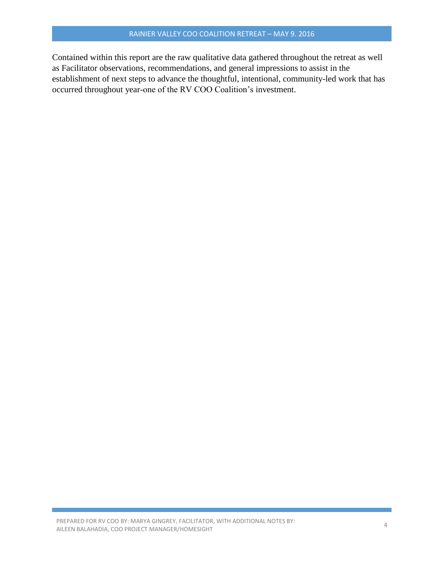Contained within this report are the raw qualitative data gathered throughout the retreat as well as Facilitator observations, recommendations, and general impressions to assist in the establishment of next steps to advance the thoughtful, intentional, community-led work that has occurred throughout year-one of the RV COO Coalition's investment.

PREPARED FOR RV COO BY: MARYA GINGREY, FACILITATOR, WITH ADDITIONAL NOTES BY: AILEEN BALAHADIA, COO BT. MANTA GINGKET, FACILITATOK, WITH ADDITIONAL NOTES BT. 4 AND AND THE MANAGER AND A LA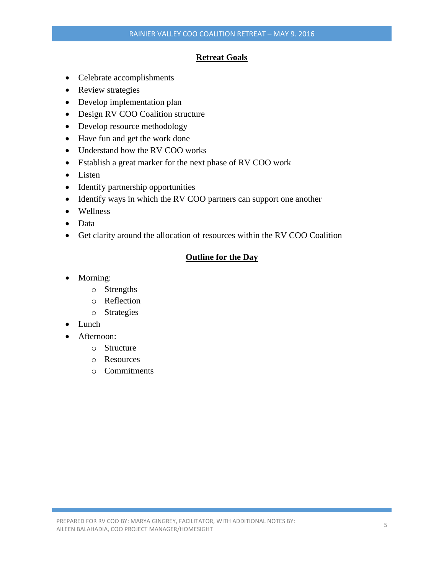# **Retreat Goals**

- Celebrate accomplishments
- Review strategies
- Develop implementation plan
- Design RV COO Coalition structure
- Develop resource methodology
- Have fun and get the work done
- Understand how the RV COO works
- Establish a great marker for the next phase of RV COO work
- Listen
- Identify partnership opportunities
- Identify ways in which the RV COO partners can support one another
- Wellness
- Data
- Get clarity around the allocation of resources within the RV COO Coalition

# **Outline for the Day**

- Morning:
	- o Strengths
	- o Reflection
	- o Strategies
- Lunch
- Afternoon:
	- o Structure
	- o Resources
	- o Commitments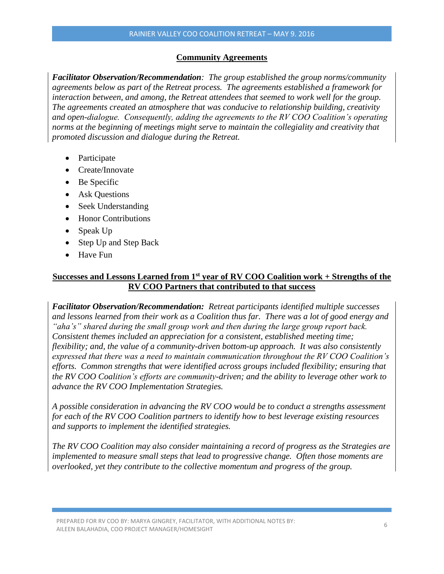# **Community Agreements**

*Facilitator Observation/Recommendation: The group established the group norms/community agreements below as part of the Retreat process. The agreements established a framework for interaction between, and among, the Retreat attendees that seemed to work well for the group. The agreements created an atmosphere that was conducive to relationship building, creativity and open-dialogue. Consequently, adding the agreements to the RV COO Coalition's operating norms at the beginning of meetings might serve to maintain the collegiality and creativity that promoted discussion and dialogue during the Retreat.*

- Participate
- Create/Innovate
- Be Specific
- Ask Questions
- Seek Understanding
- Honor Contributions
- Speak Up
- Step Up and Step Back
- Have Fun

# **Successes and Lessons Learned from 1st year of RV COO Coalition work + Strengths of the RV COO Partners that contributed to that success**

*Facilitator Observation/Recommendation: Retreat participants identified multiple successes and lessons learned from their work as a Coalition thus far. There was a lot of good energy and "aha's" shared during the small group work and then during the large group report back. Consistent themes included an appreciation for a consistent, established meeting time; flexibility; and, the value of a community-driven bottom-up approach. It was also consistently expressed that there was a need to maintain communication throughout the RV COO Coalition's efforts. Common strengths that were identified across groups included flexibility; ensuring that the RV COO Coalition's efforts are community-driven; and the ability to leverage other work to advance the RV COO Implementation Strategies.*

*A possible consideration in advancing the RV COO would be to conduct a strengths assessment for each of the RV COO Coalition partners to identify how to best leverage existing resources and supports to implement the identified strategies.* 

*The RV COO Coalition may also consider maintaining a record of progress as the Strategies are implemented to measure small steps that lead to progressive change. Often those moments are overlooked, yet they contribute to the collective momentum and progress of the group.*

PREPARED FOR RV COO BY: MARYA GINGREY, FACILITATOR, WITH ADDITIONAL NOTES BY: AILEEN BALAHADIA, COO BT. MANTA GINGNET, FACILITATON, WITH ADDITIONAL NOTES BT. 66 (6) (6) (6) (6) (6) (6) (6)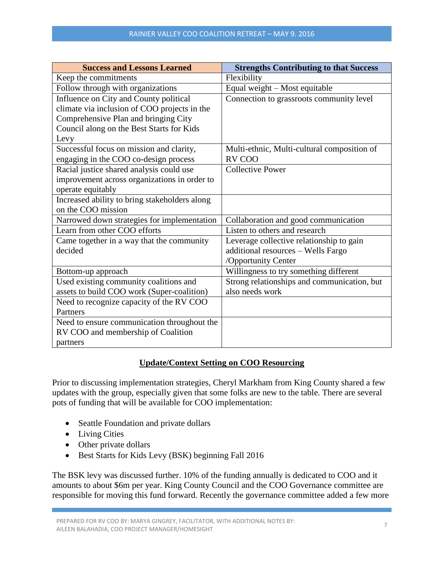| <b>Success and Lessons Learned</b>            | <b>Strengths Contributing to that Success</b> |  |
|-----------------------------------------------|-----------------------------------------------|--|
| Keep the commitments                          | Flexibility                                   |  |
| Follow through with organizations             | Equal weight - Most equitable                 |  |
| Influence on City and County political        | Connection to grassroots community level      |  |
| climate via inclusion of COO projects in the  |                                               |  |
| Comprehensive Plan and bringing City          |                                               |  |
| Council along on the Best Starts for Kids     |                                               |  |
| Levy                                          |                                               |  |
| Successful focus on mission and clarity,      | Multi-ethnic, Multi-cultural composition of   |  |
| engaging in the COO co-design process         | RV COO                                        |  |
| Racial justice shared analysis could use      | <b>Collective Power</b>                       |  |
| improvement across organizations in order to  |                                               |  |
| operate equitably                             |                                               |  |
| Increased ability to bring stakeholders along |                                               |  |
| on the COO mission                            |                                               |  |
| Narrowed down strategies for implementation   | Collaboration and good communication          |  |
| Learn from other COO efforts                  | Listen to others and research                 |  |
| Came together in a way that the community     | Leverage collective relationship to gain      |  |
| decided                                       | additional resources - Wells Fargo            |  |
|                                               | /Opportunity Center                           |  |
| Bottom-up approach                            | Willingness to try something different        |  |
| Used existing community coalitions and        | Strong relationships and communication, but   |  |
| assets to build COO work (Super-coalition)    | also needs work                               |  |
| Need to recognize capacity of the RV COO      |                                               |  |
| Partners                                      |                                               |  |
| Need to ensure communication throughout the   |                                               |  |
| RV COO and membership of Coalition            |                                               |  |
| partners                                      |                                               |  |

# **Update/Context Setting on COO Resourcing**

Prior to discussing implementation strategies, Cheryl Markham from King County shared a few updates with the group, especially given that some folks are new to the table. There are several pots of funding that will be available for COO implementation:

- Seattle Foundation and private dollars
- Living Cities
- Other private dollars
- Best Starts for Kids Levy (BSK) beginning Fall 2016

The BSK levy was discussed further. 10% of the funding annually is dedicated to COO and it amounts to about \$6m per year. King County Council and the COO Governance committee are responsible for moving this fund forward. Recently the governance committee added a few more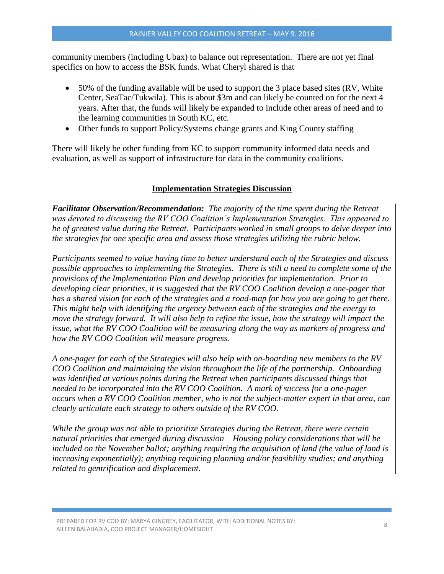community members (including Ubax) to balance out representation. There are not yet final specifics on how to access the BSK funds. What Cheryl shared is that

- 50% of the funding available will be used to support the 3 place based sites (RV, White Center, SeaTac/Tukwila). This is about \$3m and can likely be counted on for the next 4 years. After that, the funds will likely be expanded to include other areas of need and to the learning communities in South KC, etc.
- Other funds to support Policy/Systems change grants and King County staffing

There will likely be other funding from KC to support community informed data needs and evaluation, as well as support of infrastructure for data in the community coalitions.

#### **Implementation Strategies Discussion**

*Facilitator Observation/Recommendation: The majority of the time spent during the Retreat was devoted to discussing the RV COO Coalition's Implementation Strategies. This appeared to be of greatest value during the Retreat. Participants worked in small groups to delve deeper into the strategies for one specific area and assess those strategies utilizing the rubric below.* 

*Participants seemed to value having time to better understand each of the Strategies and discuss possible approaches to implementing the Strategies. There is still a need to complete some of the provisions of the Implementation Plan and develop priorities for implementation. Prior to developing clear priorities, it is suggested that the RV COO Coalition develop a one-pager that has a shared vision for each of the strategies and a road-map for how you are going to get there. This might help with identifying the urgency between each of the strategies and the energy to move the strategy forward. It will also help to refine the issue, how the strategy will impact the issue, what the RV COO Coalition will be measuring along the way as markers of progress and how the RV COO Coalition will measure progress.*

*A one-pager for each of the Strategies will also help with on-boarding new members to the RV COO Coalition and maintaining the vision throughout the life of the partnership. Onboarding was identified at various points during the Retreat when participants discussed things that needed to be incorporated into the RV COO Coalition. A mark of success for a one-pager occurs when a RV COO Coalition member, who is not the subject-matter expert in that area, can clearly articulate each strategy to others outside of the RV COO.*

*While the group was not able to prioritize Strategies during the Retreat, there were certain natural priorities that emerged during discussion – Housing policy considerations that will be included on the November ballot; anything requiring the acquisition of land (the value of land is increasing exponentially); anything requiring planning and/or feasibility studies; and anything related to gentrification and displacement.*

PREPARED FOR RV COO BY: MARYA GINGREY, FACILITATOR, WITH ADDITIONAL NOTES BY: PREPARED FOR NY COO BT. MANTA GINGRET, FACIETIATOR, WITH ADDITIONAL NOTES BT.<br>AILEEN BALAHADIA, COO PROJECT MANAGER/HOMESIGHT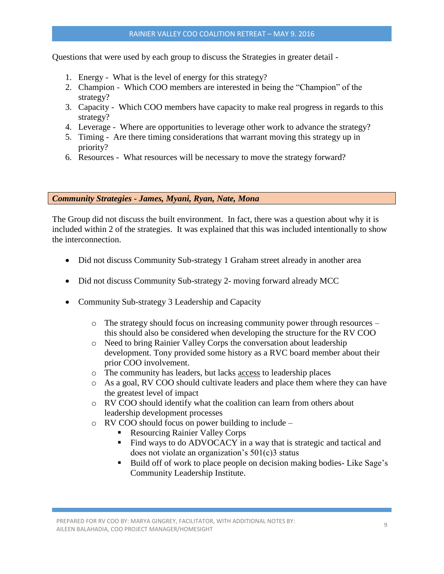Questions that were used by each group to discuss the Strategies in greater detail -

- 1. Energy What is the level of energy for this strategy?
- 2. Champion Which COO members are interested in being the "Champion" of the strategy?
- 3. Capacity Which COO members have capacity to make real progress in regards to this strategy?
- 4. Leverage Where are opportunities to leverage other work to advance the strategy?
- 5. Timing Are there timing considerations that warrant moving this strategy up in priority?
- 6. Resources What resources will be necessary to move the strategy forward?

*Community Strategies - James, Myani, Ryan, Nate, Mona*

The Group did not discuss the built environment. In fact, there was a question about why it is included within 2 of the strategies. It was explained that this was included intentionally to show the interconnection.

- Did not discuss Community Sub-strategy 1 Graham street already in another area
- Did not discuss Community Sub-strategy 2- moving forward already MCC
- Community Sub-strategy 3 Leadership and Capacity
	- o The strategy should focus on increasing community power through resources this should also be considered when developing the structure for the RV COO
	- o Need to bring Rainier Valley Corps the conversation about leadership development. Tony provided some history as a RVC board member about their prior COO involvement.
	- o The community has leaders, but lacks access to leadership places
	- o As a goal, RV COO should cultivate leaders and place them where they can have the greatest level of impact
	- o RV COO should identify what the coalition can learn from others about leadership development processes
	- o RV COO should focus on power building to include
		- Resourcing Rainier Valley Corps
		- Find ways to do ADVOCACY in a way that is strategic and tactical and does not violate an organization's 501(c)3 status
		- Build off of work to place people on decision making bodies-Like Sage's Community Leadership Institute.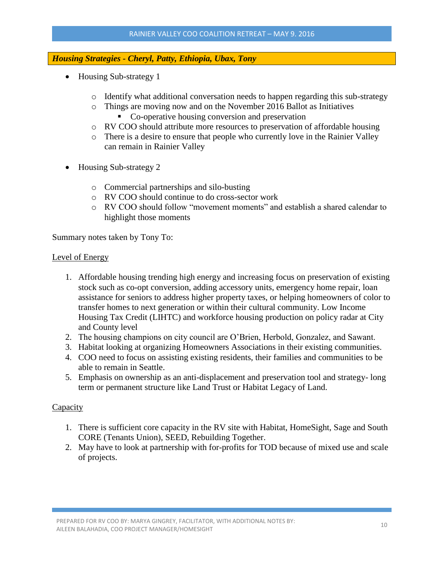# *Housing Strategies - Cheryl, Patty, Ethiopia, Ubax, Tony*

- Housing Sub-strategy 1
	- $\circ$  Identify what additional conversation needs to happen regarding this sub-strategy
	- o Things are moving now and on the November 2016 Ballot as Initiatives • Co-operative housing conversion and preservation
	- o RV COO should attribute more resources to preservation of affordable housing
	- o There is a desire to ensure that people who currently love in the Rainier Valley can remain in Rainier Valley
- Housing Sub-strategy 2
	- o Commercial partnerships and silo-busting
	- o RV COO should continue to do cross-sector work
	- o RV COO should follow "movement moments" and establish a shared calendar to highlight those moments

Summary notes taken by Tony To:

#### Level of Energy

- 1. Affordable housing trending high energy and increasing focus on preservation of existing stock such as co-opt conversion, adding accessory units, emergency home repair, loan assistance for seniors to address higher property taxes, or helping homeowners of color to transfer homes to next generation or within their cultural community. Low Income Housing Tax Credit (LIHTC) and workforce housing production on policy radar at City and County level
- 2. The housing champions on city council are O'Brien, Herbold, Gonzalez, and Sawant.
- 3. Habitat looking at organizing Homeowners Associations in their existing communities.
- 4. COO need to focus on assisting existing residents, their families and communities to be able to remain in Seattle.
- 5. Emphasis on ownership as an anti-displacement and preservation tool and strategy- long term or permanent structure like Land Trust or Habitat Legacy of Land.

# **Capacity**

- 1. There is sufficient core capacity in the RV site with Habitat, HomeSight, Sage and South CORE (Tenants Union), SEED, Rebuilding Together.
- 2. May have to look at partnership with for-profits for TOD because of mixed use and scale of projects.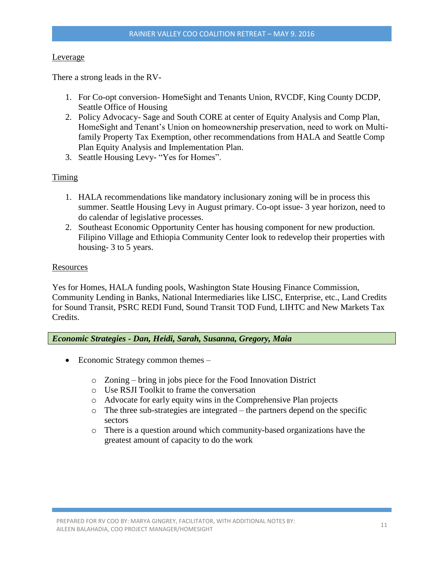#### Leverage

There a strong leads in the RV-

- 1. For Co-opt conversion- HomeSight and Tenants Union, RVCDF, King County DCDP, Seattle Office of Housing
- 2. Policy Advocacy- Sage and South CORE at center of Equity Analysis and Comp Plan, HomeSight and Tenant's Union on homeownership preservation, need to work on Multifamily Property Tax Exemption, other recommendations from HALA and Seattle Comp Plan Equity Analysis and Implementation Plan.
- 3. Seattle Housing Levy- "Yes for Homes".

#### Timing

- 1. HALA recommendations like mandatory inclusionary zoning will be in process this summer. Seattle Housing Levy in August primary. Co-opt issue- 3 year horizon, need to do calendar of legislative processes.
- 2. Southeast Economic Opportunity Center has housing component for new production. Filipino Village and Ethiopia Community Center look to redevelop their properties with housing- 3 to 5 years.

#### Resources

Yes for Homes, HALA funding pools, Washington State Housing Finance Commission, Community Lending in Banks, National Intermediaries like LISC, Enterprise, etc., Land Credits for Sound Transit, PSRC REDI Fund, Sound Transit TOD Fund, LIHTC and New Markets Tax Credits.

#### *Economic Strategies - Dan, Heidi, Sarah, Susanna, Gregory, Maia*

- Economic Strategy common themes
	- o Zoning bring in jobs piece for the Food Innovation District
	- o Use RSJI Toolkit to frame the conversation
	- o Advocate for early equity wins in the Comprehensive Plan projects
	- o The three sub-strategies are integrated the partners depend on the specific sectors
	- o There is a question around which community-based organizations have the greatest amount of capacity to do the work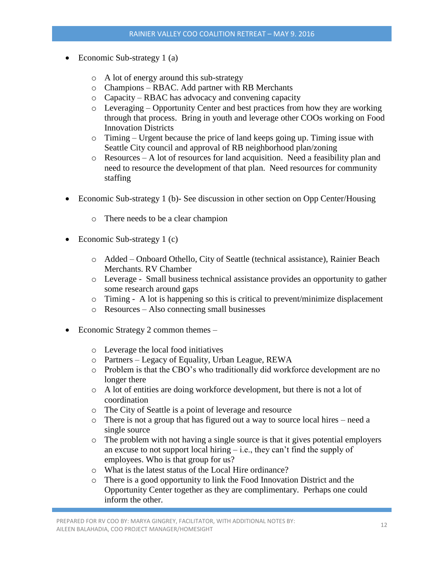- Economic Sub-strategy 1 (a)
	- o A lot of energy around this sub-strategy
	- o Champions RBAC. Add partner with RB Merchants
	- o Capacity RBAC has advocacy and convening capacity
	- o Leveraging Opportunity Center and best practices from how they are working through that process. Bring in youth and leverage other COOs working on Food Innovation Districts
	- o Timing Urgent because the price of land keeps going up. Timing issue with Seattle City council and approval of RB neighborhood plan/zoning
	- o Resources A lot of resources for land acquisition. Need a feasibility plan and need to resource the development of that plan. Need resources for community staffing
- Economic Sub-strategy 1 (b)- See discussion in other section on Opp Center/Housing
	- o There needs to be a clear champion
- Economic Sub-strategy 1 (c)
	- o Added Onboard Othello, City of Seattle (technical assistance), Rainier Beach Merchants. RV Chamber
	- o Leverage Small business technical assistance provides an opportunity to gather some research around gaps
	- o Timing A lot is happening so this is critical to prevent/minimize displacement
	- o Resources Also connecting small businesses
- Economic Strategy 2 common themes
	- o Leverage the local food initiatives
	- o Partners Legacy of Equality, Urban League, REWA
	- o Problem is that the CBO's who traditionally did workforce development are no longer there
	- o A lot of entities are doing workforce development, but there is not a lot of coordination
	- o The City of Seattle is a point of leverage and resource
	- o There is not a group that has figured out a way to source local hires need a single source
	- o The problem with not having a single source is that it gives potential employers an excuse to not support local hiring  $-$  i.e., they can't find the supply of employees. Who is that group for us?
	- o What is the latest status of the Local Hire ordinance?
	- o There is a good opportunity to link the Food Innovation District and the Opportunity Center together as they are complimentary. Perhaps one could inform the other.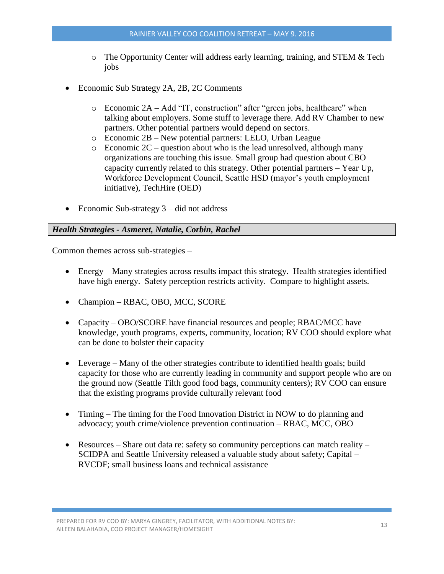- $\circ$  The Opportunity Center will address early learning, training, and STEM & Tech jobs
- Economic Sub Strategy 2A, 2B, 2C Comments
	- o Economic 2A Add "IT, construction" after "green jobs, healthcare" when talking about employers. Some stuff to leverage there. Add RV Chamber to new partners. Other potential partners would depend on sectors.
	- o Economic 2B New potential partners: LELO, Urban League
	- $\circ$  Economic 2C question about who is the lead unresolved, although many organizations are touching this issue. Small group had question about CBO capacity currently related to this strategy. Other potential partners – Year Up, Workforce Development Council, Seattle HSD (mayor's youth employment initiative), TechHire (OED)
- Economic Sub-strategy  $3 did$  not address

# *Health Strategies - Asmeret, Natalie, Corbin, Rachel*

Common themes across sub-strategies –

- Energy Many strategies across results impact this strategy. Health strategies identified have high energy. Safety perception restricts activity. Compare to highlight assets.
- Champion RBAC, OBO, MCC, SCORE
- Capacity OBO/SCORE have financial resources and people; RBAC/MCC have knowledge, youth programs, experts, community, location; RV COO should explore what can be done to bolster their capacity
- Leverage Many of the other strategies contribute to identified health goals; build capacity for those who are currently leading in community and support people who are on the ground now (Seattle Tilth good food bags, community centers); RV COO can ensure that the existing programs provide culturally relevant food
- Timing The timing for the Food Innovation District in NOW to do planning and advocacy; youth crime/violence prevention continuation – RBAC, MCC, OBO
- Resources Share out data re: safety so community perceptions can match reality SCIDPA and Seattle University released a valuable study about safety; Capital – RVCDF; small business loans and technical assistance

PREPARED FOR RV COO BY: MARYA GINGREY, FACILITATOR, WITH ADDITIONAL NOTES BY: PREPARED FOR NY COO BT. MANTA GINGRET, FACIETIATOR, WITH ADDITIONAL NOTES BT. 13 13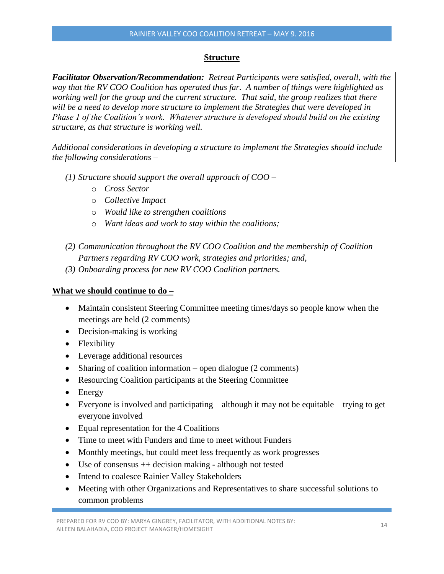# **Structure**

*Facilitator Observation/Recommendation: Retreat Participants were satisfied, overall, with the way that the RV COO Coalition has operated thus far. A number of things were highlighted as working well for the group and the current structure. That said, the group realizes that there will be a need to develop more structure to implement the Strategies that were developed in Phase 1 of the Coalition's work. Whatever structure is developed should build on the existing structure, as that structure is working well.* 

*Additional considerations in developing a structure to implement the Strategies should include the following considerations –*

- *(1) Structure should support the overall approach of COO –*
	- o *Cross Sector*
	- o *Collective Impact*
	- o *Would like to strengthen coalitions*
	- o *Want ideas and work to stay within the coalitions;*
- *(2) Communication throughout the RV COO Coalition and the membership of Coalition Partners regarding RV COO work, strategies and priorities; and,*
- *(3) Onboarding process for new RV COO Coalition partners.*

# **What we should continue to do –**

- Maintain consistent Steering Committee meeting times/days so people know when the meetings are held (2 comments)
- Decision-making is working
- Flexibility
- Leverage additional resources
- Sharing of coalition information open dialogue (2 comments)
- Resourcing Coalition participants at the Steering Committee
- Energy
- Everyone is involved and participating although it may not be equitable trying to get everyone involved
- Equal representation for the 4 Coalitions
- Time to meet with Funders and time to meet without Funders
- Monthly meetings, but could meet less frequently as work progresses
- Use of consensus ++ decision making although not tested
- Intend to coalesce Rainier Valley Stakeholders
- Meeting with other Organizations and Representatives to share successful solutions to common problems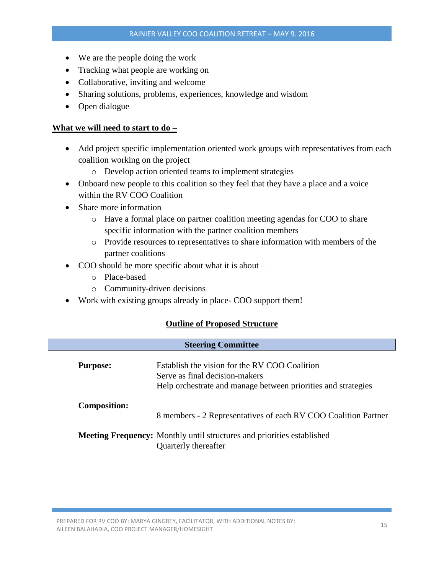- We are the people doing the work
- Tracking what people are working on
- Collaborative, inviting and welcome
- Sharing solutions, problems, experiences, knowledge and wisdom
- Open dialogue

### **What we will need to start to do –**

- Add project specific implementation oriented work groups with representatives from each coalition working on the project
	- o Develop action oriented teams to implement strategies
- Onboard new people to this coalition so they feel that they have a place and a voice within the RV COO Coalition
- Share more information
	- o Have a formal place on partner coalition meeting agendas for COO to share specific information with the partner coalition members
	- o Provide resources to representatives to share information with members of the partner coalitions
- COO should be more specific about what it is about
	- o Place-based
	- o Community-driven decisions
- Work with existing groups already in place- COO support them!

# **Outline of Proposed Structure**

| <b>Steering Committee</b> |                                                                                                                                                  |  |  |  |
|---------------------------|--------------------------------------------------------------------------------------------------------------------------------------------------|--|--|--|
| <b>Purpose:</b>           | Establish the vision for the RV COO Coalition<br>Serve as final decision-makers<br>Help orchestrate and manage between priorities and strategies |  |  |  |
| <b>Composition:</b>       | 8 members - 2 Representatives of each RV COO Coalition Partner                                                                                   |  |  |  |
|                           | <b>Meeting Frequency:</b> Monthly until structures and priorities established<br>Quarterly thereafter                                            |  |  |  |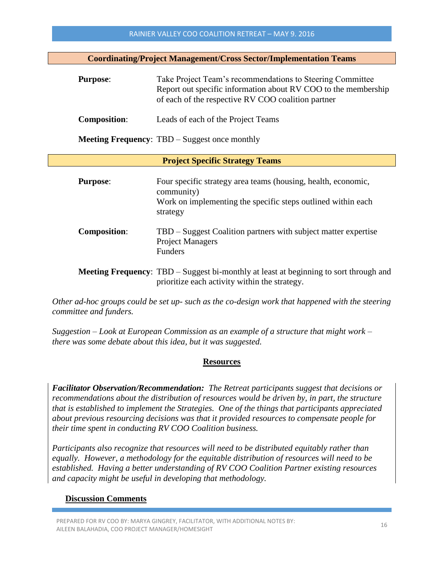**Coordinating/Project Management/Cross Sector/Implementation Teams**

| <b>Purpose:</b>     | Take Project Team's recommendations to Steering Committee<br>Report out specific information about RV COO to the membership<br>of each of the respective RV COO coalition partner |
|---------------------|-----------------------------------------------------------------------------------------------------------------------------------------------------------------------------------|
| <b>Composition:</b> | Leads of each of the Project Teams                                                                                                                                                |
|                     | <b>Meeting Frequency:</b> TBD – Suggest once monthly                                                                                                                              |

#### **Project Specific Strategy Teams**

| <b>Purpose:</b>     | Four specific strategy area teams (housing, health, economic,<br>community)<br>Work on implementing the specific steps outlined within each<br>strategy |
|---------------------|---------------------------------------------------------------------------------------------------------------------------------------------------------|
| <b>Composition:</b> | TBD – Suggest Coalition partners with subject matter expertise<br><b>Project Managers</b><br><b>Funders</b>                                             |
|                     | <b>Meeting Frequency:</b> TBD – Suggest bi-monthly at least at beginning to sort through and                                                            |

prioritize each activity within the strategy.

*Other ad-hoc groups could be set up- such as the co-design work that happened with the steering committee and funders.*

*Suggestion – Look at European Commission as an example of a structure that might work – there was some debate about this idea, but it was suggested.*

#### **Resources**

*Facilitator Observation/Recommendation: The Retreat participants suggest that decisions or recommendations about the distribution of resources would be driven by, in part, the structure that is established to implement the Strategies. One of the things that participants appreciated about previous resourcing decisions was that it provided resources to compensate people for their time spent in conducting RV COO Coalition business.*

*Participants also recognize that resources will need to be distributed equitably rather than equally. However, a methodology for the equitable distribution of resources will need to be established. Having a better understanding of RV COO Coalition Partner existing resources and capacity might be useful in developing that methodology.*

#### **Discussion Comments**

PREPARED FOR RV COO BY: MARYA GINGREY, FACILITATOR, WITH ADDITIONAL NOTES BY: PREPARED FOR NY COO BT. MANTA GINGRET, FACIETIATOR, WITH ADDITIONAL NOTES BT. 15 16 16 16 16 16 16 16 16 16 16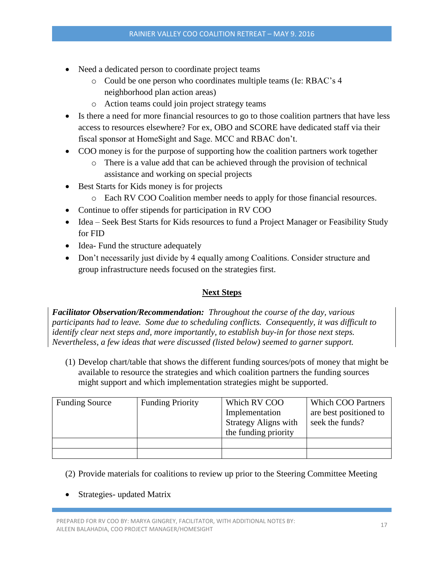- Need a dedicated person to coordinate project teams
	- o Could be one person who coordinates multiple teams (Ie: RBAC's 4 neighborhood plan action areas)
	- o Action teams could join project strategy teams
- Is there a need for more financial resources to go to those coalition partners that have less access to resources elsewhere? For ex, OBO and SCORE have dedicated staff via their fiscal sponsor at HomeSight and Sage. MCC and RBAC don't.
- COO money is for the purpose of supporting how the coalition partners work together
	- o There is a value add that can be achieved through the provision of technical assistance and working on special projects
- Best Starts for Kids money is for projects
	- o Each RV COO Coalition member needs to apply for those financial resources.
- Continue to offer stipends for participation in RV COO
- Idea Seek Best Starts for Kids resources to fund a Project Manager or Feasibility Study for FID
- Idea- Fund the structure adequately
- Don't necessarily just divide by 4 equally among Coalitions. Consider structure and group infrastructure needs focused on the strategies first.

# **Next Steps**

*Facilitator Observation/Recommendation: Throughout the course of the day, various participants had to leave. Some due to scheduling conflicts. Consequently, it was difficult to identify clear next steps and, more importantly, to establish buy-in for those next steps. Nevertheless, a few ideas that were discussed (listed below) seemed to garner support.*

(1) Develop chart/table that shows the different funding sources/pots of money that might be available to resource the strategies and which coalition partners the funding sources might support and which implementation strategies might be supported.

| <b>Funding Source</b> | <b>Funding Priority</b> | Which RV COO                | <b>Which COO Partners</b> |
|-----------------------|-------------------------|-----------------------------|---------------------------|
|                       |                         | Implementation              | are best positioned to    |
|                       |                         | <b>Strategy Aligns with</b> | seek the funds?           |
|                       |                         | the funding priority        |                           |
|                       |                         |                             |                           |
|                       |                         |                             |                           |

# (2) Provide materials for coalitions to review up prior to the Steering Committee Meeting

Strategies- updated Matrix

PREPARED FOR RV COO BY: MARYA GINGREY, FACILITATOR, WITH ADDITIONAL NOTES BY: PREPARED FOR NY COO BT. MANTA GINGRET, FACIETIATOR, WITH ADDITIONAL NOTES BT. 17<br>AILEEN BALAHADIA, COO PROJECT MANAGER/HOMESIGHT